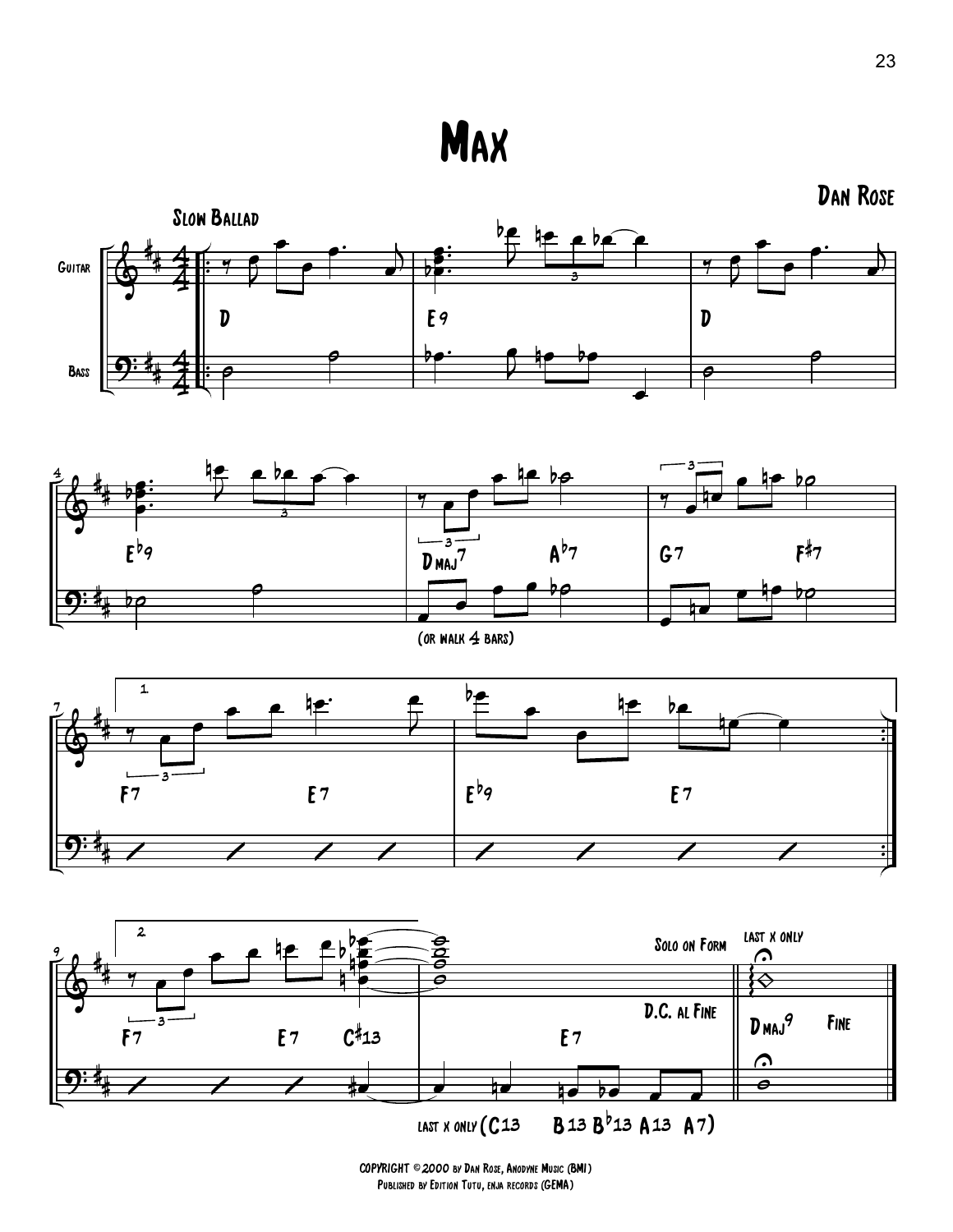**MAX** 





(or walk 4 bars)





COPYRIGHT ©2000 by Dan Rose, Anodyne Music (BMI) Published by Edition Tutu, enja records (GEMA)